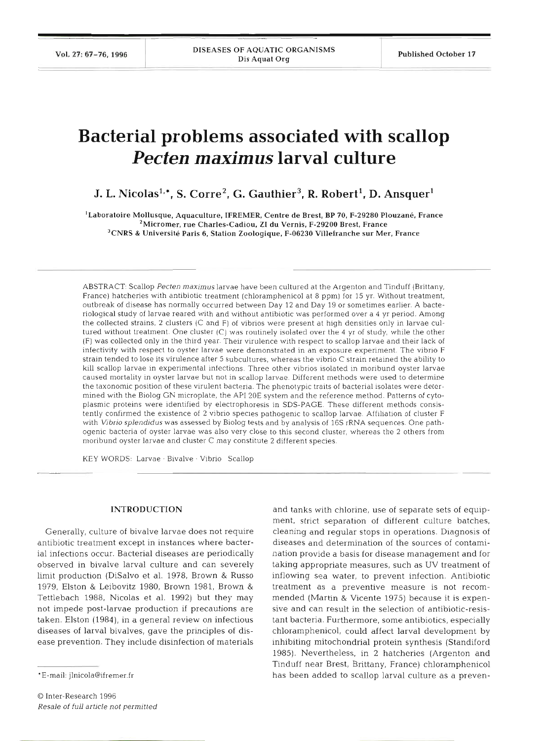# **Bacterial problems associated with scallop**  *Pecten maximus* **larval culture**

J. L. Nicolas<sup>1,\*</sup>, S. Corre<sup>2</sup>, G. Gauthier<sup>3</sup>, R. Robert<sup>1</sup>, D. Ansquer<sup>1</sup>

<sup>1</sup>Laboratoire Mollusque, Aquaculture, IFREMER, Centre de Brest, BP 70, F-29280 Plouzané, France <sup>2</sup>Micromer, rue Charles-Cadiou, ZI du Vernis, F-29200 Brest, France  $3$ CNRS & Université Paris 6, Station Zoologique, F-06230 Villefranche sur Mer, France

ABSTRACT: Scallop *Pecten maximus* larvae have been cultured at the Argenton and Tinduff (Brittany, France) hatcheries with antibiotic treatment (chloramphenicol at 8 ppm) for 15 yr. Without treatment, outbreak of disease has normally occurred between Day 12 and Day 19 or sometimes earlier. **A** bacteriological study of larvae reared with and without antibiotic was performed over a 4 yr period. Among the collected strains, 2 clusters (C and F) of vibrios were present at high densities only in larvae cultured without treatment. One cluster (C) was routinely isolated over the 4 yr of study, while the other (F) was collected only in the third year. Their virulence with respect to scallop larvae and their lack of infectivity with respect to oyster larvae were demonstrated in an exposure experiment. The vibrio F strain tended to lose its virulence after 5 subcultures, whereas the vibrio C strain retained the ability to kill scallop larvae in experimental infections. Three other vibrios isolated in moribund oyster larvae caused mortality in oyster larvae but not in scallop larvae. Different methods were used to determine the taxonomic position of these virulent bacteria. The phenotypic traits of bacterial isolates were determined with the Biolog GN microplate, the API 20E system and the reference method. Patterns of cytoplasmic proteins were identified by electrophoresis in SDS-PAGE. These different methods consistently confirmed the existence of 2 vibrio species pathogenic to scallop larvae. Affiliation of cluster F with *Vibrio splendidus* was assessed by Biolog tests and by analysis of 16s rRNA sequences. One pathogenic bacteria of oyster larvae was also very close to this second cluster, whereas the 2 others from moribund oyster larvae and cluster C may constitute 2 different species.

KEY WORDS: Larvae . Bivalve . Vibrio Scallop

# INTRODUCTION

Generally, culture of bivalve larvae does not require antibiotic treatment except in instances where bacterial infections occur. Bacterial diseases are periodically observed in bivalve larval culture and can severely limit production (DiSalvo et al. 1978, Brown & Russo 1979, Elston & Leibovitz 1980, Brown 1981, Brown & Tettlebach 1988, Nicolas et al. 1992) but they may not impede post-larvae production if precautions are taken. Elston (1984), in a general review on infectious diseases of larval bivalves, gave the principles of disease prevention. They include disinfection of materials

and tanks with chlorine, use of separate sets of equipment, strict separation of different culture batches, cleaning and regular stops in operations. Diagnosis of diseases and determination of the sources of contamination provide a basis for disease management and for taking appropriate measures, such as UV treatment of inflowing sea water, to prevent infection. Antibiotic treatment as a preventive measure is not recommended (Martin & Vicente 1975) because it is expensive and can result in the selection of antibiotic-resistant bacteria. Furthermore, some antibiotics, especially chloramphenicol, could affect larval development by inhibiting mitochondrial protein synthesis (Standiford 1985). Nevertheless, in 2 hatcheries (Argenton and Tinduff near Brest, Brittany, France) chloramphenicol has been added to scallop larval culture as a preven-

<sup>\*</sup>E-mail: ilnicola@ifremer.fr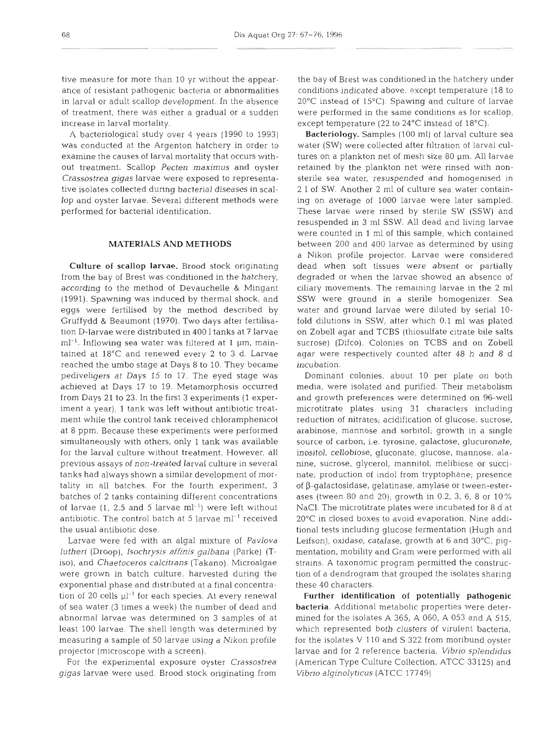tive measure for more than 10 yr without the appearance of resistant pathogenic bacteria or abnormalities in larval or adult scallop development. In the absence of treatment, there was either a gradual or a sudden increase in larval mortality.

A bacteriological study over 4 years (1990 to 1993) was conducted at the Argenton hatchery in order to examine the causes of larval mortality that occurs without treatment. Scallop *Pecten maximus* and oyster *Crassostrea gigas* larvae were exposed to representative isolates collected during bacterial diseases in scallop and oyster larvae. Several different methods were performed for bacterial identification.

# **MATERIALS AND METHODS**

Culture of scallop larvae. Brood stock originating from the bay of Brest was conditioned in the hatchery, according to the method of Devauchelle & Mingant (1991). Spawning was induced by thermal shock, and eggs were fertilised by the method described by Gruffydd & Beaumont (1970). Two days after fertilisation D-larvae were distributed in 400 1 tanks at **7** larvae  $ml<sup>-1</sup>$ . Inflowing sea water was filtered at 1  $µm$ , maintained at 18°C and renewed every 2 to 3 d. Larvae reached the umbo stage at Days 8 to 10. They became pediveligers at Days 15 to l?. The eyed stage was achieved at Days 17 to 19. Metamorphosis occurred from Days 21 to 23. In the first 3 experiments (1 experiment a year), 1 tank was left without antibiotic treatment while the control tank received chloramphenicol at 8 ppm. Because these experiments were performed simultaneously with others, only 1 tank was available for the larval culture without treatment. However, all previous assays of non-treated larval culture in several tanks had always shown a similar development of mortality in all batches. For the fourth experiment, 3 batches of 2 tanks containing different concentrations of larvae  $(1, 2.5$  and 5 larvae ml<sup>-1</sup>) were left without antibiotic. The control batch at 5 larvae  $ml^{-1}$  received the usual antibiotic dose.

Larvae were fed with an algal mixture of *Pavlova lutheri* (Droop), *Isochrysis affinis galbana* (Parke) (Tiso), and *Chaetoceros calcitrans* (Takano). Microalgae were grown in batch culture, harvested during the exponential phase and distributed at a final concentration of 20 cells  $\mu$ <sup>-1</sup> for each species. At every renewal of sea water (3 times a week) the number of dead and abnormal larvae was determined on 3 samples of at least 100 larvae. The shell length was determined by measuring a sample of 50 larvae using a Nikon profile projector (microscope with a screen).

For the experimental exposure oyster *Crassostrea gigas* larvae were used. Brood stock originating from the bay of Brest was conditioned in the hatchery under conditions indicated above, except temperature (18 to 20°C instead of 15°C). Spawing and culture of larvae were performed in the same conditions as for scallop, except temperature (22 to  $24^{\circ}$ C instead of  $18^{\circ}$ C).

Bacteriology. Samples (100 ml) of larval culture sea water (SW) were collected after filtration of larval cultures on a plankton net of mesh size 80 µm. All larvae retained by the plankton net were rinsed with nonsterile sea water, resuspended and homogenised in 2 1 of SW. Another 2 ml of culture sea water containing on average of 1000 larvae were later sampled. These larvae were rinsed by sterile SW (SSW) and resuspended in 3 m1 SSW. All dead and living larvae were counted in 1 ml of this sample, which contained between 200 and 400 larvae as determined by using a Nikon profile projector. Larvae were considered dead when soft tissues were absent or partially degraded or when the larvae showed an absence of ciliary movements. The remaining larvae in the 2 m1 SSW were ground in a sterile homogenizer. Sea water and ground larvae were diluted by serial 10 fold dilutions in SSW, after which 0.1 m1 was plated on Zobell agar and TCBS (thiosulfate citrate bile salts sucrose) (Difco). Colonies on TCBS and on Zobell agar were respectively counted after 48 h and 8 d incubation.

Dominant colonies, about 10 per plate on both media, were isolated and purified. Their metabolism and growth preferences were determined on 96-well microtitrate plates using 31 characters including reduction of nitrates; acidification of glucose, sucrose, arabinose, mannose and sorbitol; growth in a single source of carbon, i.e. tyrosine, galactose, glucuronate, inositol, cellobiose, gluconate, glucose, mannose, alanine, sucrose, glycerol, mannitol, melibiose or succinate; production of indol from tryptophane; presence of  $\beta$ -galactosidase, gelatinase, amylase or tween-esterases (tween 80 and 20); growth in 0.2, 3, 6, 8 or 10% NaCl. The microtitrate plates were incubated for 8 d at 20°C in closed boxes to avoid evaporation. Nine additional tests including glucose fermentation (Hugh and Leifson), oxidase, catalase, growth at 6 and 30°C, pigmentation, mobility and Gram were performed with all strains. A taxonomic program permitted the construction of a dendrogram that grouped the isolates sharing these 40 characters.

Further identification of potentially pathogenic bacteria. Additional metabolic properties were determined for the isolates A 365, A 060, A 053 and **A** 515, which represented both clusters of virulent bacteria, for the isolates  $V$  110 and  $S$  322 from moribund oyster larvae and for 2 reference bacteria, *Vibrio splendidus*  (American Type Culture Collection, ATCC 33125) and *Vibrio alginolyticus* (ATCC 17749)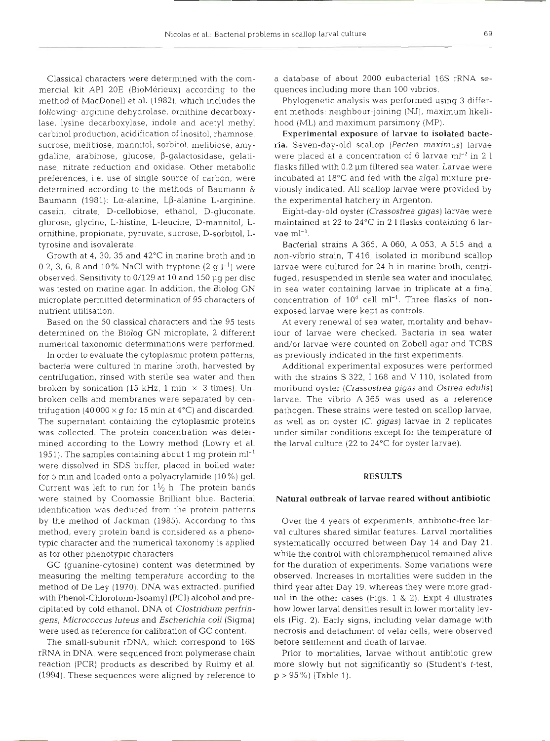Classical characters were determined with the commercial kit API 20E (BioMerieux) according to the method of MacDonell et al. (1982). which includes the following arginine dehydrolase, ornithine decarboxylase, lysine decarboxylase, indole and acetyl methyl carbinol production, acidification of inositol, rhamnose, sucrose, melibiose, mannitol, sorbitol, melibiose, amygdaline, arabinose, gl.ucose, P-galactosidase, gelatinase, nitrate reduction and oxldase. Other metabolic preferences, i.e. use of single source of carbon, were determined according to the methods of Baumann & Baumann (1981): L $\alpha$ -alanine, L $\beta$ -alanine L-arginine, casein, citrate, D-cellobiose, ethanol, D-gluconate, glucose, glycine, L-histine, L-leucine, D-mannitol, Lornithine, propionate, pyruvate, sucrose, D-sorbitol, Ltyrosine and isovalerate.

Growth at 4, 30, 35 and 42°C in marine broth and in 0.2, 3, 6, 8 and 10% NaCl with tryptone  $(2 \text{ g } l^{-1})$  were observed. Sensitivity to 0/129 at 10 and 150 pg per disc was tested on marine agar. In addition, the Biolog GN microplate permitted determination of 95 characters of nutrient utilisation.

Based on the 50 classical characters and the 95 tests determined on the Biolog GN microplate, 2 different numerical taxonomic determinations were performed.

In order to evaluate the cytoplasmic protein patterns, bacteria were cultured in marine broth, harvested by centrifugation, rinsed with sterile sea water and then broken by sonication (15 kHz, 1 min  $\times$  3 times). Unbroken cells and membranes were separated by centrifugation (40 000  $\times$  g for 15 min at 4°C) and discarded. The supernatant containing the cytoplasmic proteins was collected. The protein concentration was determined according to the Lowry method (Lowry et al. 1951). The samples containing about 1 mg protein  $ml^{-1}$ were dissolved in SDS buffer, placed in boiled water for 5 min and loaded onto a polyacrylamide (10%) gel. Current was left to run for  $1\frac{1}{2}$  h. The protein bands were stained by Coomassie Brilliant blue. Bacterial identification was deduced from the protein patterns by the method of Jackman (1985). According to this method, every protein band is considered as a phenotypic character and the numerical taxonomy is applied as for other phenotypic characters.

GC (guanine-cytosine) content was determined by measuring the melting temperature according to the method of De Ley (1970). DNA was extracted, purified with Phenol-Chloroform-Isoamyl (PCI) alcohol and precipitated by cold ethanol. DNA of Clostridium perfringens, Micrococcus luteus and Escherichia coli (Sigma) were used as reference for calibration of GC content.

The small-subunit rDNA, which correspond to **16s**  rRNA in DNA, were sequenced from polymerase chain reaction (PCR) products as described by Ruimy et al. (1994). These sequences were aligned by reference to

a database of about 2000 eubacterial 16s rRNA sequences including more than 100 vibrios.

Phylogenetic analysis was performed using 3 different methods: neighbour-joining (NJ), maximum likelihood (ML) and maximum parsimony (MP).

Experimental exposure of larvae to isolated bacteria. Seven-day-old scallop (Pecten maximus) larvae were placed at a concentration of 6 larvae  $ml^{-1}$  in 2 l flasks filled with 0.2 um filtered sea water. Larvae were incubated at  $18^{\circ}$ C and fed with the algal mixture previously indicated. All scallop larvae were provided by the experimental hatchery in Argenton.

Eight-day-old oyster (Crassostrea gigas) larvae were maintained at 22 to 24°C in 2 l flasks containing **6** lar $vae ml^{-1}$ .

Bacterial strains A 365, A 060, A 053, **A** 515 and a non-vibrio strain, T 416, isolated in moribund scallop larvae were cultured for 24 h in marine broth, centrifuged, resuspended in sterile sea water and inoculated in sea water containing larvae in triplicate at a final concentration of  $10^4$  cell ml<sup>-1</sup>. Three flasks of nonexposed larvae were kept as controls.

At every renewal of sea water, mortality and behaviour of larvae were checked. Bacteria in sea wate and/or larvae were counted on Zobell agar and TCBS as previously indicated in the first experiments.

Additional experimental exposures were performed with the strains S 322, I 168 and V 110, isolated from moribund oyster (Crassostrea gigas and Ostrea edulis) larvae. The vibrio A 365 was used as a reference pathogen. These strains were tested on scallop larvae, as well as on oyster (C. gigas) larvae in 2 replicates under similar conditions except for the temperature of the larval culture (22 to 24°C for oyster larvae).

# **RESULTS**

## Natural outbreak **of** larvae reared without antibiotic

Over the 4 years of experiments, antibiotic-free larval cultures shared similar features. Larval mortalities systematically occurred between Day 14 and Day 21, while the control with chloramphenicol remained alive for the duration of experiments. Some variations were observed. Increases in mortalities were sudden in the third year after Day 19, whereas they were more gradual in the other cases (Figs. 1 & 2). Expt 4 illustrates how lower larval densities result in lower mortality levels (Fig. 2). Early signs, including velar damage with necrosis and detachment of velar cells, were observed before settlement and death of larvae.

Prior to mortalities, larvae without antibiotic grew more slowly but not significantly so (Student's t-test, p > 95%) (Table 1).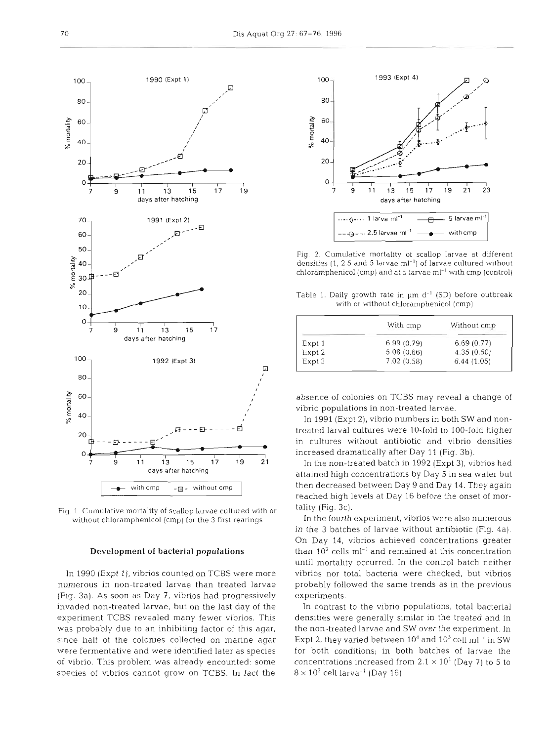

Fig. 1. Cumulative mortality of scallop larvae cultured with or without chloramphenicol (cmp) for the 3 first rearings

### Development of bacterial populations

In 1990 (Expt l), vibrios counted on TCBS were more numerous in non-treated larvae than treated larvae (Fig. 3a). As soon as Day 7, vibrios had progressively invaded non-treated larvae, but on the last day of the experiment TCBS revealed many fewer vibrios. This was probably due to an inhibiting factor of this agar, since half of the colonies collected on marine agar were fermentative and were identified later as species of vibrio. This problem was already encounted: some species of vibrios cannot grow on TCBS. In fact the



Fig. 2. Cumulative mortality of scallop larvae at different densities (1, 2.5 and 5 larvae  $ml^{-1}$ ) of larvae cultured without chloramphenicol (cmp) and at 5 larvae ml<sup>-1</sup> with cmp (control)

Table 1. Daily growth rate in  $\mu$ m d<sup>-1</sup> (SD) before outbreak with or without chloramphenicol (cmp)

|        | With cmp   | Without cmp |
|--------|------------|-------------|
| Expt 1 | 6.99(0.79) | 6.69(0.77)  |
| Expt 2 | 5.08(0.66) | 4.35(0.50)  |
| Expt 3 | 7.02(0.58) | 6.44(1.05)  |

absence of colonies on TCBS may reveal a change of vibrio populations in non-treated larvae.

In 1991 (Expt 2), vibrio numbers in both SW and nontreated larval cultures were 10-fold to 100-fold higher in cultures without antibiotic and vibrio densities increased dramatically after Day 11 (Fig. 3b).

In the non-treated batch in 1992 (Expt 3), vibrios had attained high concentrations by Day 5 in sea water but then decreased between Day 9 and Day 14. They again reached high levels at Day 16 before the onset of mortality (Fig. 3c).

In the fourth experiment, vibrios were also numerous in the 3 batches of larvae without antibiotic (Fig. 4a). On Day 14, vibrios achieved concentrations greater than  $10^2$  cells ml<sup>-1</sup> and remained at this concentration until mortality occurred. In the control batch neither vibnos nor total bacteria were checked, but vibrios probably followed the same trends as in the previous experiments.

In contrast to the vibrio populations, total bacterial densities were generally similar in the treated and in the non-treated larvae and SW over the experiment. In Expt 2, they varied between  $10^4$  and  $10^5$  cell ml<sup>-1</sup> in SW for both conditions; in both batches of larvae the concentrations increased from  $2.1 \times 10^1$  (Day 7) to 5 to  $8 \times 10^2$  cell larva<sup>-1</sup> (Day 16).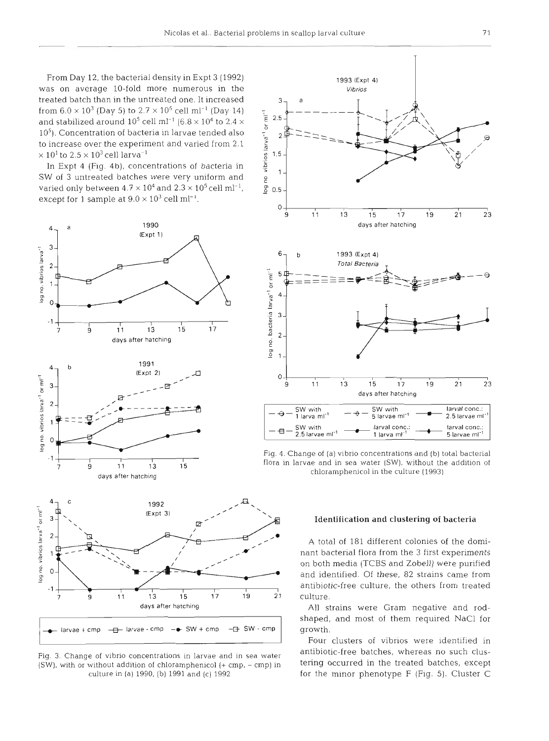From Day 12, the bacterial density in Expt 3 (1992) 1993 (Expt 4) was on average 10-fold more numerous in the vibrios treated batch than in the untreated one. It increased from 6.0 X 103 (Day 5) to 2.7 X 10' cell ml-l (Day 14) - p - - - - and stabilized around  $10^5$  cell ml<sup>-1</sup> (6.8  $\times$  10<sup>4</sup> to 2.4  $\times$ 10<sup>5</sup>). Concentration of bacteria in larvae tended also  $\frac{1}{r_{\rm m}}$  2 to increase over the experiment and varied from 2.1  $\times$  10<sup>1</sup> to 2.5  $\times$  10<sup>3</sup> cell larva<sup>-1</sup>  $\frac{1}{8}$  1.5

In Expt 4 (Fig. 4b), concentrations of bacteria in  $\frac{5}{5}$ SW of 3 untreated batches were very uniform and<br>varied only between  $4.7 \times 10^4$  and  $2.3 \times 10^5$  cell ml<sup>-1</sup>, g 0.5 except for 1 sample at  $9.0 \times 10^3$  cell ml<sup>-1</sup>.



(SW), with or without addition of chloramphenicol  $(+ \text{cmp}, - \text{cmp})$  in



 $\frac{1}{9}$  11 13 15 flora in larvae and in sea water (SW), without the addition of chloramphenicol in the culture (1993)

# **Identification and clustering of bacteria**

A total of 181 different colonies of the dominant bacterial flora from the 3 first experiments on both media (TCBS and Zobell) were purified and identified. Of these, 82 strains came from antibiotic-free culture, the others from treated

days after hatching and the All strains were Gram negative and rodshaped, and most of them required NaCl for growth.

Four clusters of vibrios were identified in Fig. 3. Change of vibrio concentrations in larvae and in sea water antibiotic-free batches, whereas no such clus-<br>(SW), with or without addition of chloramphenicol (+ cmp – cmp) in tering occurred in the treated batches, e culture in (a) 1990, (b) 1991 and (c) 1992 for the minor phenotype F (Fig. 5). Cluster C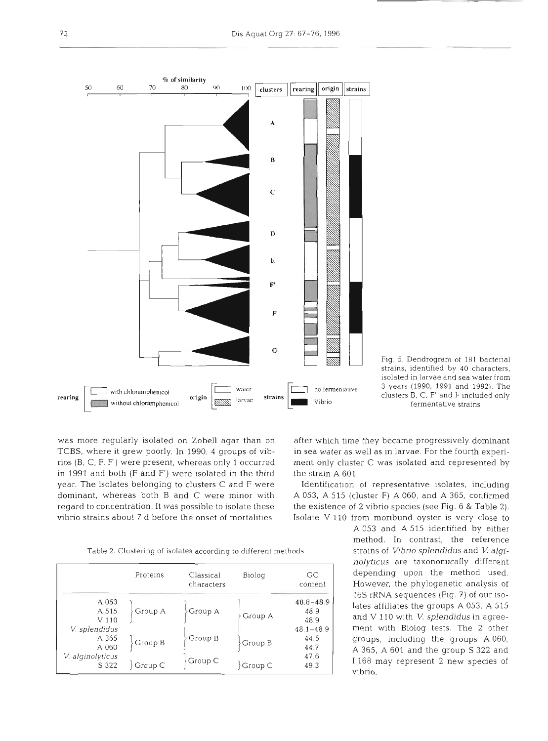



was more regularly isolated on Zobell agar than on after which time they became progressively dominant in 1991 and both (F and F') were isolated in the third the strain A  $601$ year. The isolates belonging to clusters C and F were Identification of representative isolates, including dominant, whereas both B and C were minor with A 053, A 515 (cluster F) A 060, and A 365, confirmed regard to concentration. It was possible to isolate these the existence of 2 vibrio species (see Fig. 6 & Table 2). vibrio strains about 7 d before the onset of mortalities, Isolate V 110 from moribund oyster is very close to

TCBS, where it grew poorly. In 1990, 4 groups of vib- in sea water as well as in larvae. For the fourth experirios (B, C, F, F') were present, whereas only 1 occurred ment only cluster C was isolated and represented by

A 053 and A 515 identified by either method. In contrast, the reference *nolyticus* are taxonomically different depending upon the method used. However, the phylogenetic analysis of 16s rRNA sequences (Fig. 7) of our isolates affiliates the groups A 053, A 515 and V 110 with V. *splendidus* in agreement with Biolog tests. The 2 other groups, including the groups A 060, A 365, A 601 and the group S 322 and 1 168 may represent 2 new species of vibrio.

Table 2. Clustering of isolates according to different methods strains of **Vibno** *splendidus* and **V** *algi-*

|                  | Proteins                 | Classical<br>characters | Biolog                               | GC<br>content |
|------------------|--------------------------|-------------------------|--------------------------------------|---------------|
| A 053            |                          |                         |                                      | $48.8 - 48.9$ |
| A 515            | Group A                  | Group A                 |                                      | 48.9          |
| V <sub>110</sub> |                          |                         | Group A                              | 48.9          |
| V. splendidus    |                          |                         |                                      | $48.1 - 48.9$ |
| A 365            |                          | Group B                 |                                      | 44.5          |
| A 060            | Group B                  |                         | Group B                              | 44.7          |
| V. alginolyticus |                          |                         |                                      | 47.6          |
| S 322            | $\operatorname{Group} C$ | Group C                 | $\operatorname{Group} \, \mathbb{C}$ | 49.3          |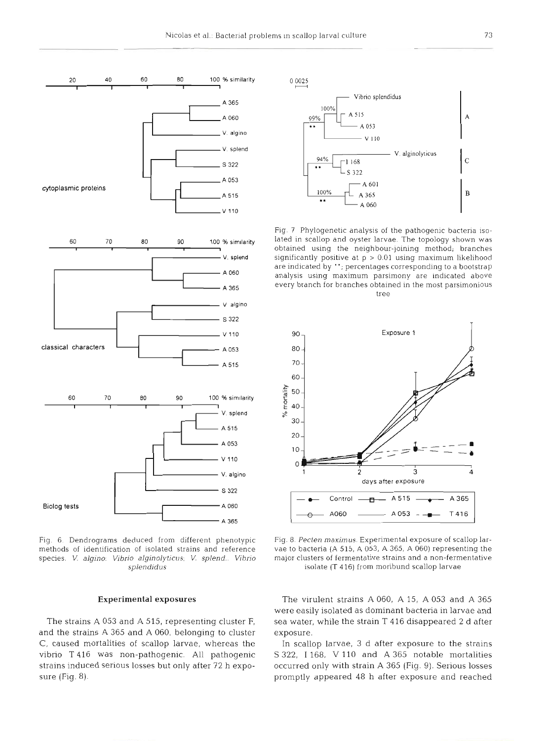

**20 40 60 80 100** % **similarity I I I I I** 

Fig. 6. Dendrograms deduced from different phenotypic methods of identification of isolated strains and reference species. V. *algino: Vibrio alginolyticus; V. splend.. Vibrio splendidus* 

and the strains A 365 and A 060, belonging to cluster exposure. C, caused mortalities of scallop larvae, whereas the In scallop larvae, 3 d after exposure to the strains



Fig. 7 Phylogenetic analysis of the pathogenic bacteria isolated in scallop and oyster larvae. The topology shown was obtained using the neighbour-joining method; branches significantly positive at p > 0.01 using maximum likelihood are indicated by "; percentages corresponding to a bootstrap analysis using maximum parsimony are indicated above every branch for branches obtained in the most parsimonious tree



Fig. 8. *Pecten maximus.* Experimental exposure of scallop larvae to bacteria (A 515. A 053, A 365, A 060) representing the major clusters of fermentative strains and a non-fermentative isolate (T 416) from moribund scallop larvae

**Experimental exposures** The virulent strains A 060, A 15, A 053 and A 365 were easily isolated as dominant bacteria in larvae and The strains A 053 and A 515, representing cluster F, sea water, while the strain T 416 disappeared 2 d after

vibno T 416 was non-pathogenic. All pathogenic S 322, I 168, V **l10** and A 365 notable mortalities strains induced serious losses but only after 72 **h** expo- occurred only with strain A 365 (Fig. 9). Serious losses sure (Fig. 8). **promptly appeared 48** h after exposure and reached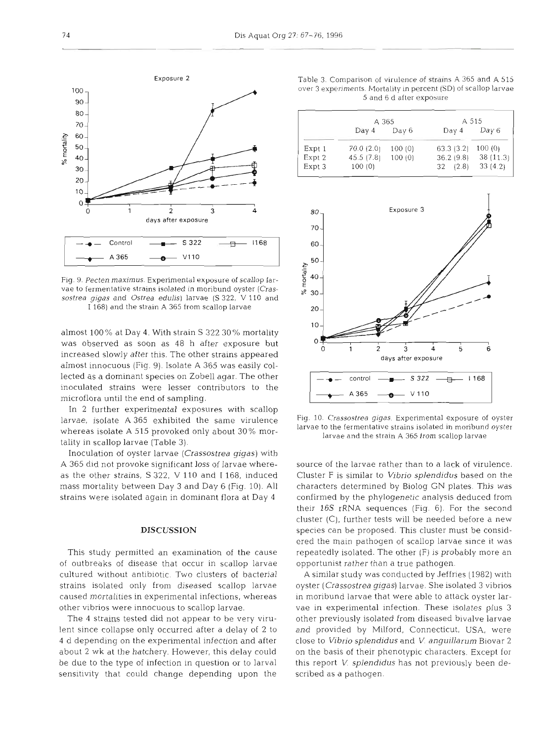

Fig. 9. *Pecten maximus.* Experimental exposure of scallop larvae to fermentative strains isolated in moribund oyster *(Crassostrea gigas* and *Ostrea edulis)* larvae *(S* 322, V 110 and I 168) and the strain A 365 from scallop larvae

almost 100% at Day 4. With strain S 322 30% mortality was observed as soon as 48 h after exposure but increased slowly after this. The other strains appeared almost innocuous (Fig. 9). Isolate A 365 was easily collected as a dominant species on Zobell agar. The other inoculated strains were lesser contributors to the microflora until the end of sampling.

In 2 further experimental exposures with scallop larvae, isolate A 365 exhibited the same virulence whereas isolate A 515 provoked only about 30% mortality in scallop larvae (Table *3).* 

Inoculation of oyster larvae *(Crassostrea gigas)* with *A* 365 did not provoke significant loss of larvae whereas the other strains, S 322, V 110 and 1168, induced mass mortality between Day 3 and Day 6 (Fig. 10). All strains were isolated again in dominant flora at Day 4

# **DISCUSSION**

This study permitted an examination of the cause of outbreaks of disease that occur in scallop larvae cultured without antibiotic. Two clusters of bacterial strains isolated only from diseased scallop larvae caused mortalities in experimental infections, whereas other vibrios were innocuous to scallop larvae.

The 4 strains tested did not appear to be very virulent since collapse only occurred after a delay of 2 to 4 d depending on the experimental infection and after about 2 wk at the hatchery. However, this delay could be due to the type of infection in question or to larval sensitivity that could change depending upon the

Table 3. Comparison of virulence of strains A 365 and A 515 over 3 experiments. Mortality in percent (SD) of scallop larvae 5 and 6 d after exposure

|        | A 365      |        | A 515     |          |
|--------|------------|--------|-----------|----------|
|        | Day 4      | Day 6  | Day 4     | Day 6    |
| Expt 1 | 70.0(2.0)  | 100(0) | 63.3(3.2) | 100(0)   |
| Expt 2 | 45.5 (7.8) | 100(0) | 36.2(9.8) | 38(11.3) |
| Expt 3 | 100(0)     |        | 32(2.8)   | 33(4.2)  |
|        |            |        |           |          |



Fig. 10. *Crassostrea gigas.* Experimental exposure of oyster larvae to the fermentative strains isolated in moribund oyster larvae and the strain A 365 from scallop larvae

source of the larvae rather than to a lack of virulence. Cluster F is similar to *Vibrio splendidus* based on the characters determined by Biolog GN plates. This was confirmed by the phylogenetic analysis deduced from their 16s rRNA sequences (Fig. 6). For the second cluster (C), further tests will be needed before a new species can be proposed. This cluster must be considered the main pathogen of scallop larvae since it was repeatedly isolated. The other (F) is probably more an opportunist rather than a true pathogen

A similar study was conducted by Jeffries (1982) wlth oyster *(Crassostrea gigas)* larvae. She isolated *3* vibrios in moribund larvae that were able to attack oyster larvae in experimental infection. These isolates plus **3**  other previously isolated from diseased bivalve larvae and provided by Milford, Connecticut, USA, were close to *Vibrio splendidus* and *V anguillarum* Biovar *2*  on the basis of their phenotypic characters. Except for this report V. *splendidus* has not previously been described as a pathogen.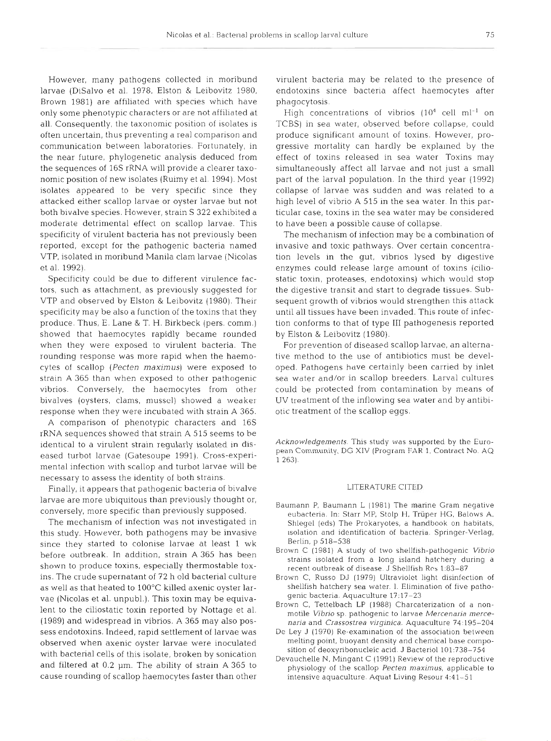However, many pathogens collected in moribund larvae (DiSalvo et al. 1978, Elston & Leibovitz 1980, Brown 1981) are affiliated with species which have only some phenotypic characters or are not affiliated at all. Consequently, the taxonomic position of isolates is often uncertain, thus preventing a real comparison and communication between laboratories. Fortunately, in the near future, phylogenetic analysis deduced from the sequences of 16s rRNA will provide a clearer taxonomic position of new isolates (Ruimy et al. 1994). Most isolates appeared to be very specific since they attacked either scallop larvae or oyster larvae but not both bivalve species. However, strain S 322 exhibited a moderate detrimental effect on scallop larvae. This specificity of virulent bacteria has not previously been reported, except for the pathogenic bacteria named VTP, isolated in moribund Manila clam larvae (Nicolas et al. 1992).

Specificity could be due to different virulence factors, such as attachment, as previously suggested for VTP and observed by Elston & Leibovitz (1980). Their specificity may be also a function of the toxins that they produce. Thus, E. Lane & T. H. Birkbeck (pers, comm.) showed that haemocytes rapidly became rounded when they were exposed to virulent bacteria. The rounding response was more rapid when the haemocytes of scallop (Pecten *maximus)* were exposed to strain A 365 than when exposed to other pathogenic vibrios. Conversely, the haemocytes from other bivalves (oysters, clams, mussel) showed a weaker response when they were incubated with strain A 365.

A comparison of phenotypic characters and 16s rRNA sequences showed that strain **A** 515 seems to be identical to a virulent strain regularly isolated in diseased turbot larvae (Gatesoupe 1991). Cross-experimental infection with scallop and turbot larvae will be necessary to assess the identity of both strains.

Finally, it appears that pathogenic bacteria of bivalve larvae are more ubiquitous than previously thought or, conversely, more specific than previously supposed.

The mechanism of infection was not investigated in this study. However, both pathogens may be invasive since they started to colonise larvae at least 1 wk before outbreak. In addition, strain A 365 has been shown to produce toxins, especially thermostable toxins. The crude supernatant of 72 h old bacterial culture as well as that heated to 100°C killed axenic oyster larvae (Nicolas et al. unpubl.). This toxin may be equivalent to the ciliostatic toxin reported by Nottage et al. (1989) and widespread in vibrios. A 365 may also possess endotoxins. Indeed, rapid settlement of larvae was observed when axenic oyster larvae were inoculated with bacterial cells of this isolate, broken by sonication and filtered at 0.2 pm. The ability of strain A 365 to cause rounding of scallop haemocytes faster than other

virulent bacteria may be related to the presence of endotoxins since bacteria affect haemocytes after phagocytosis.

High concentrations of vibrios  $(10^4 \text{ cell } \text{ml}^{-1} \text{ on }$ TCBS) in sea water, observed before collapse, could produce significant amount of toxins. However, progressive mortality can hardly be explained by the effect of toxins released in sea water Toxins may simultaneously affect all larvae and not just a small part of the larval population. In the third year (1992) collapse of larvae was sudden and was related to a high level of vibrio A 515 in the sea water. In this particular case, toxins in the sea water may be considered to have been a possible cause of collapse.

The mechanism of infection may be a combination of invasive and toxic pathways. Over certain concentration levels in the gut, vibrios lysed by digestive enzymes could release large amount of toxins (ciliostatic toxin, proteases, endotoxins) which would stop the digestive transit and start to degrade tissues. Subsequent growth of vibrios would strengthen this attack until all tissues have been invaded. This route of infection conforms to that of type III pathogenesis reported by Elston & Leibovitz (1980).

For prevention of diseased scallop larvae, an alternative method to the use of antibiotics must be developed. Pathogens have certainly been carried by inlet sea water and/or in scallop breeders. Larval cultures could be protected from contamination by means of UV treatment of the inflowing sea water and by antibiotic treatment of the scallop eggs.

*Acknowledgements.* This study was supported by the European Community, DG XIV (Program FAR 1. Contract No. AQ 1 2

#### LITERATURE CITED

- Baumann P. Baumann L (1981) The marine Gram negative eubacteria. In: Starr MP, Stolp H. Trüper HG, Balows A, Shlegel (eds) The Prokaryotes, a handbook on habitats, isolation and identification of bacteria. Springer-Verlag, Berlin, p 518-538
- Brown C (1981) A study of two shellfish-pathogenic *Vibrio*  strains isolated from a long island hatchery during a recent outbreak of disease. J Shellfish **Rcs** 1:83-87
- Brown C, Russo DJ (1979) Ultraviolet light disinfection of shellfish hatchery sea water. I. Elimination of five pathogenic bacteria. Aquaculture 17:17-23
- Brown C, Tettelbach LP (1988) Charcaterization of a nonmotile Vibrio sp. pathogenic to larvae Mercenaria mercenaria and *Crassostrea virginlca.* Aquaculture 74-195-204
- De Ley J (1970) Re-examination of the association between melting point, buoyant density and chemical base composition of deoxyribonucleic acid. J Bacteriol 101:738-754
- Devauchelle N, Mingant C (1991) Review of the reproductive physiology of the scallop *Pecten maximus*, applicable to intensive aquaculture. Aquat Living Resour 4:41-51